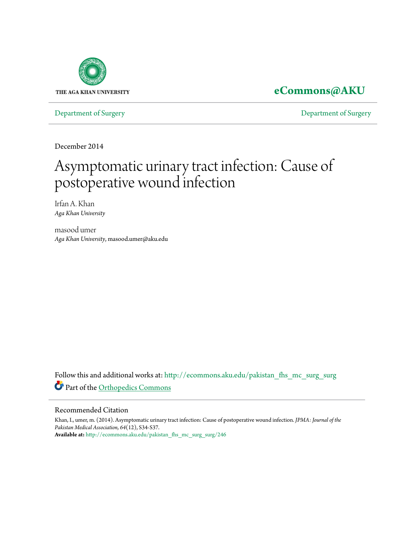

**[eCommons@AKU](http://ecommons.aku.edu?utm_source=ecommons.aku.edu%2Fpakistan_fhs_mc_surg_surg%2F246&utm_medium=PDF&utm_campaign=PDFCoverPages)**

[Department of Surgery](http://ecommons.aku.edu/pakistan_fhs_mc_surg_surg?utm_source=ecommons.aku.edu%2Fpakistan_fhs_mc_surg_surg%2F246&utm_medium=PDF&utm_campaign=PDFCoverPages) [Department of Surgery](http://ecommons.aku.edu/pakistan_fhs_mc_surg?utm_source=ecommons.aku.edu%2Fpakistan_fhs_mc_surg_surg%2F246&utm_medium=PDF&utm_campaign=PDFCoverPages)

December 2014

# Asymptomatic urinary tract infection: Cause of postoperative wound infection

Irfan A. Khan *Aga Khan University*

masood umer *Aga Khan University*, masood.umer@aku.edu

Follow this and additional works at: [http://ecommons.aku.edu/pakistan\\_fhs\\_mc\\_surg\\_surg](http://ecommons.aku.edu/pakistan_fhs_mc_surg_surg?utm_source=ecommons.aku.edu%2Fpakistan_fhs_mc_surg_surg%2F246&utm_medium=PDF&utm_campaign=PDFCoverPages) Part of the [Orthopedics Commons](http://network.bepress.com/hgg/discipline/696?utm_source=ecommons.aku.edu%2Fpakistan_fhs_mc_surg_surg%2F246&utm_medium=PDF&utm_campaign=PDFCoverPages)

# Recommended Citation

Khan, I., umer, m. (2014). Asymptomatic urinary tract infection: Cause of postoperative wound infection. *JPMA: Journal of the Pakistan Medical Association, 64*(12), S34-S37. **Available at:** [http://ecommons.aku.edu/pakistan\\_fhs\\_mc\\_surg\\_surg/246](http://ecommons.aku.edu/pakistan_fhs_mc_surg_surg/246)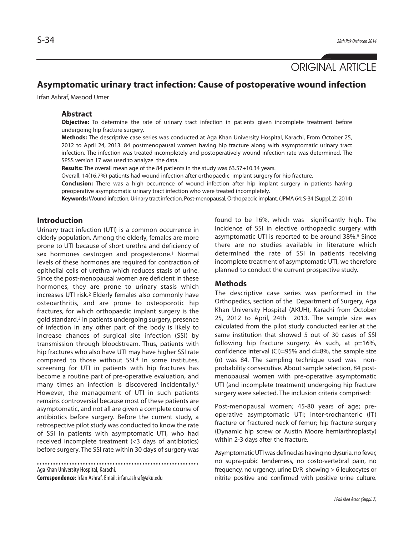ORIGINAL ARTICLE

# **Asymptomatic urinary tract infection: Cause of postoperative wound infection**

Irfan Ashraf, Masood Umer

### **Abstract**

**Objective:** To determine the rate of urinary tract infection in patients given incomplete treatment before undergoing hip fracture surgery.

**Methods:** The descriptive case series was conducted at Aga Khan University Hospital, Karachi, From October 25, 2012 to April 24, 2013. 84 postmenopausal women having hip fracture along with asymptomatic urinary tract infection. The infection was treated incompletely and postoperatively wound infection rate was determined. The SPSS version 17 was used to analyze the data.

**Results:** The overall mean age of the 84 patients in the study was 63.57+10.34 years.

Overall, 14(16.7%) patients had wound infection after orthopaedic implant surgery for hip fracture.

**Conclusion:** There was a high occurrence of wound infection after hip implant surgery in patients having preoperative asymptomatic urinary tract infection who were treated incompletely.

**Keywords:** Wound infection, Urinary tract infection, Post-menopausal, Orthopaedic implant. (JPMA 64: S-34 (Suppl. 2); 2014)

# **Introduction**

Urinary tract infection (UTI) is a common occurrence in elderly population. Among the elderly, females are more prone to UTI because of short urethra and deficiency of sex hormones oestrogen and progesterone.<sup>1</sup> Normal levels of these hormones are required for contraction of epithelial cells of urethra which reduces stasis of urine. Since the post-menopausal women are deficient in these hormones, they are prone to urinary stasis which increases UTI risk.<sup>2</sup> Elderly females also commonly have osteoarthritis, and are prone to osteoporotic hip fractures, for which orthopaedic implant surgery is the gold standard.<sup>3</sup> In patients undergoing surgery, presence of infection in any other part of the body is likely to increase chances of surgical site infection (SSI) by transmission through bloodstream. Thus, patients with hip fractures who also have UTI may have higher SSI rate compared to those without SSI.<sup>4</sup> In some institutes, screening for UTI in patients with hip fractures has become a routine part of pre-operative evaluation, and many times an infection is discovered incidentally.<sup>5</sup> However, the management of UTI in such patients remains controversial because most of these patients are asymptomatic, and not all are given a complete course of antibiotics before surgery. Before the current study, a retrospective pilot study was conducted to know the rate of SSI in patients with asymptomatic UTI, who had received incomplete treatment (<3 days of antibiotics) before surgery. The SSI rate within 30 days of surgery was

Aga Khan University Hospital, Karachi. **Correspondence:** Irfan Ashraf. Email: irfan.ashraf@aku.edu found to be 16%, which was significantly high. The Incidence of SSI in elective orthopaedic surgery with asymptomatic UTI is reported to be around 38%.<sup>6</sup> Since there are no studies available in literature which determined the rate of SSI in patients receiving incomplete treatment of asymptomatic UTI, we therefore planned to conduct the current prospective study.

# **Methods**

The descriptive case series was performed in the Orthopedics, section of the Department of Surgery, Aga Khan University Hospital (AKUH), Karachi from October 25, 2012 to April, 24th 2013. The sample size was calculated from the pilot study conducted earlier at the same institution that showed 5 out of 30 cases of SSI following hip fracture surgery. As such, at p=16%, confidence interval (CI)=95% and  $d=8%$ , the sample size (n) was 84. The sampling technique used was nonprobability consecutive. About sample selection, 84 postmenopausal women with pre-operative asymptomatic UTI (and incomplete treatment) undergoing hip fracture surgery were selected. The inclusion criteria comprised:

Post-menopausal women; 45-80 years of age; preoperative asymptomatic UTI; inter-trochanteric (IT) fracture or fractured neck of femur; hip fracture surgery (Dynamic hip screw or Austin Moore hemiarthroplasty) within 2-3 days after the fracture.

Asymptomatic UTI was defined as having no dysuria, no fever, no supra-pubic tenderness, no costo-vertebral pain, no frequency, no urgency, urine D/R showing > 6 leukocytes or nitrite positive and confirmed with positive urine culture.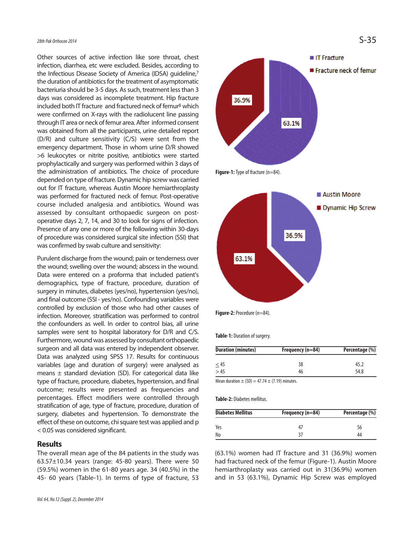Other sources of active infection like sore throat, chest infection, diarrhea, etc were excluded. Besides, according to the Infectious Disease Society of America (IDSA) guideline,7 the duration of antibiotics for the treatment of asymptomatic bacteriuria should be 3-5 days. As such, treatment less than 3 days was considered as incomplete treatment. Hip fracture included both IT fracture and fractured neck of femur<sup>8</sup> which were confirmed on X-rays with the radiolucent line passing through IT area or neck of femur area. After informed consent was obtained from all the participants, urine detailed report (D/R) and culture sensitivity (C/S) were sent from the emergency department. Those in whom urine D/R showed >6 leukocytes or nitrite positive, antibiotics were started prophylactically and surgery was performed within 3 days of the administration of antibiotics. The choice of procedure depended on type of fracture. Dynamic hip screw was carried out for IT fracture, whereas Austin Moore hemiarthroplasty was performed for fractured neck of femur. Post-operative course included analgesia and antibiotics. Wound was assessed by consultant orthopaedic surgeon on postoperative days 2, 7, 14, and 30 to look for signs of infection. Presence of any one or more of the following within 30-days of procedure was considered surgical site infection (SSI) that was confirmed by swab culture and sensitivity:

Purulent discharge from the wound; pain or tenderness over the wound; swelling over the wound; abscess in the wound. Data were entered on a proforma that included patient's demographics, type of fracture, procedure, duration of surgery in minutes, diabetes (yes/no), hypertension (yes/no), and final outcome (SSI - yes/no). Confounding variables were controlled by exclusion of those who had other causes of infection. Moreover, stratification was performed to control the confounders as well. In order to control bias, all urine samples were sent to hospital laboratory for D/R and C/S. Furthermore, wound was assessed by consultant orthopaedic surgeon and all data was entered by independent observer. Data was analyzed using SPSS 17. Results for continuous variables (age and duration of surgery) were analysed as means  $\pm$  standard deviation (SD). For categorical data like type of fracture, procedure, diabetes, hypertension, and final outcome; results were presented as frequencies and percentages. Effect modifiers were controlled through stratification of age, type of fracture, procedure, duration of surgery, diabetes and hypertension. To demonstrate the effect of these on outcome, chi square test was applied and p < 0.05 was considered significant.

## **Results**

The overall mean age of the 84 patients in the study was 63.57±10.34 years (range: 45-80 years). There were 50 (59.5%) women in the 61-80 years age. 34 (40.5%) in the 45- 60 years (Table-1). In terms of type of fracture, 53





Figure-2: Procedure (n=84).

**Table-1:** Duration of surgery.

| <b>Duration (minutes)</b> | Frequency (n=84) | Percentage (%) |
|---------------------------|------------------|----------------|
| $\leq$ 45                 | 38               | 45.2           |
| >45                       | 46               | 54.8           |

Mean duration  $\pm$  (SD) = 47.74  $\pm$  (7.19) minutes.

**Table-2:** Diabetes mellitus.

| <b>Diabetes Mellitus</b> | Frequency (n=84) | Percentage (%) |  |
|--------------------------|------------------|----------------|--|
| Yes                      |                  | 56             |  |
| No                       |                  | 44             |  |

(63.1%) women had IT fracture and 31 (36.9%) women had fractured neck of the femur (Figure-1). Austin Moore hemiarthroplasty was carried out in 31(36.9%) women and in 53 (63.1%), Dynamic Hip Screw was employed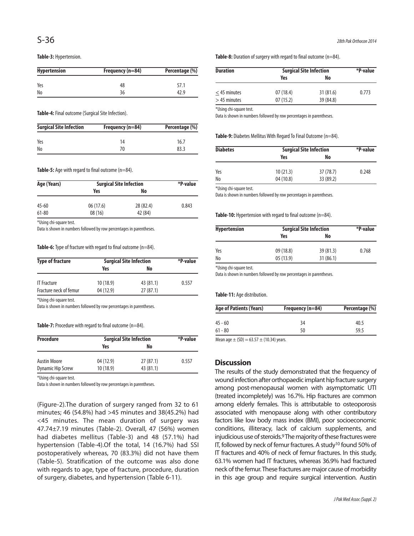#### **Table-3:** Hypertension.

| <b>Hypertension</b> | Frequency (n=84) | Percentage (%) |  |
|---------------------|------------------|----------------|--|
| Yes                 | 48               | 57.1           |  |
| No                  | 36               | 42.9           |  |

**Table-4:** Final outcome (Surgical Site Infection).

| <b>Surgical Site Infection</b> | Frequency (n=84) | Percentage (%) |
|--------------------------------|------------------|----------------|
| Yes                            | 14               | 16.7           |
| No                             |                  | 83.3           |

#### **Table-5:** Age with regard to final outcome (n=84).

| Age (Years)   | <b>Surgical Site Infection</b> |           | *P-value |
|---------------|--------------------------------|-----------|----------|
|               | Yes                            | No        |          |
| $45 - 60$     | 06(17.6)                       | 28 (82.4) | 0.843    |
| $61 - 80$     | 08(16)                         | 42 (84)   |          |
| $M H + I + I$ |                                |           |          |

\*Using chi-square test.

Data is shown in numbers followed by row percentages in parentheses.

#### **Table-6:** Type of fracture with regard to final outcome (n=84).

| <b>Type of fracture</b> | <b>Surgical Site Infection</b> |           | *P-value |
|-------------------------|--------------------------------|-----------|----------|
|                         | Yes                            | No        |          |
| <b>IT Fracture</b>      | 10(18.9)                       | 43 (81.1) | 0.557    |
| Fracture neck of femur  | 04 (12.9)                      | 27(87.1)  |          |

\*Using chi-square test.

Data is shown in numbers followed by row percentages in parentheses.

#### **Table-7:** Procedure with regard to final outcome (n=84).

| <b>Procedure</b>  | <b>Surgical Site Infection</b> |           | *P-value |
|-------------------|--------------------------------|-----------|----------|
|                   | Yes                            | No        |          |
| Austin Moore      | 04 (12.9)                      | 27(87.1)  | 0.557    |
| Dynamic Hip Screw | 10(18.9)                       | 43 (81.1) |          |

\*Using chi-square test.

Data is shown in numbers followed by row percentages in parentheses.

(Figure-2).The duration of surgery ranged from 32 to 61 minutes; 46 (54.8%) had >45 minutes and 38(45.2%) had <45 minutes. The mean duration of surgery was 47.74±7.19 minutes (Table-2). Overall, 47 (56%) women had diabetes mellitus (Table-3) and 48 (57.1%) had hypertension (Table-4).Of the total, 14 (16.7%) had SSI postoperatively whereas, 70 (83.3%) did not have them (Table-5). Stratification of the outcome was also done with regards to age, type of fracture, procedure, duration of surgery, diabetes, and hypertension (Table 6-11).

Table-8: Duration of surgery with regard to final outcome (n=84).

| Duration                        | <b>Surgical Site Infection</b> |                       | *P-value |
|---------------------------------|--------------------------------|-----------------------|----------|
|                                 | Yes                            | No                    |          |
| $<$ 45 minutes<br>$>45$ minutes | 07(18.4)<br>07(15.2)           | 31(81.6)<br>39 (84.8) | 0.773    |

\*Using chi-square test.

Data is shown in numbers followed by row percentages in parentheses.

Table-9: Diabetes Mellitus With Regard To Final Outcome (n=84).

| <b>Diabetes</b> | <b>Surgical Site Infection</b> |           | *P-value |
|-----------------|--------------------------------|-----------|----------|
|                 | Yes                            | No        |          |
| Yes             | 10(21.3)                       | 37 (78.7) | 0.248    |
| No              | 04(10.8)                       | 33 (89.2) |          |

\*Using chi-square test.

Data is shown in numbers followed by row percentages in parentheses.

#### Table-10: Hypertension with regard to final outcome (n=84).

| <b>Hypertension</b> | <b>Surgical Site Infection</b> |          | *P-value |
|---------------------|--------------------------------|----------|----------|
|                     | Yes                            | No       |          |
| Yes                 | 09(18.8)                       | 39(81.3) | 0.768    |
| No                  | 05(13.9)                       | 31(86.1) |          |

\*Using chi-square test.

Data is shown in numbers followed by row percentages in parentheses.

#### **Table-11:** Age distribution.

| Frequency (n=84) | Percentage (%) |  |
|------------------|----------------|--|
| 34               | 40.5           |  |
| 50               | 59.5           |  |
|                  |                |  |

Mean age  $\pm$  (SD) = 63.57  $\pm$  (10.34) years.

# **Discussion**

The results of the study demonstrated that the frequency of wound infection after orthopaedic implant hip fracture surgery among post-menopausal women with asymptomatic UTI (treated incompletely) was 16.7%. Hip fractures are common among elderly females. This is attributable to osteoporosis associated with menopause along with other contributory factors like low body mass index (BMI), poor socioeconomic conditions, illiteracy, lack of calcium supplements, and injudicious use of steroids.<sup>9</sup> The majority of these fractures were IT, followed by neck of femur fractures. A study<sup>10</sup> found 50% of IT fractures and 40% of neck of femur fractures. In this study, 63.1% women had IT fractures, whereas 36.9% had fractured neck of the femur. These fractures are major cause of morbidity in this age group and require surgical intervention. Austin